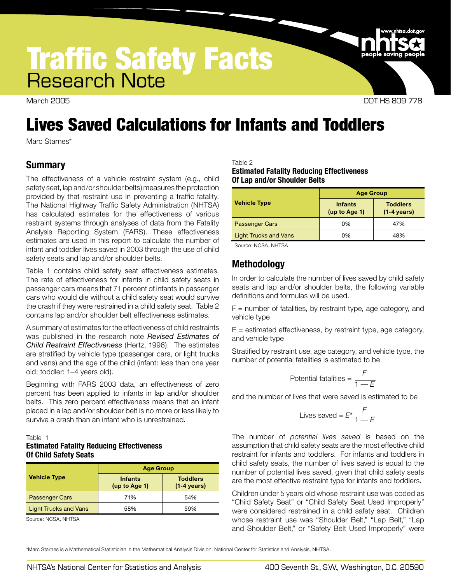# Traffic Safety Facts Research Note

March 2005 DOT HS 809 778

## Lives Saved Calculations for Infants and Toddlers

Marc Starnes\*

## **Summary**

The effectiveness of a vehicle restraint system (e.g., child safety seat, lap and/or shoulder belts) measures the protection provided by that restraint use in preventing a traffic fatality. The National Highway Traffic Safety Administration (NHTSA) has calculated estimates for the effectiveness of various restraint systems through analyses of data from the Fatality Analysis Reporting System (FARS). These effectiveness estimates are used in this report to calculate the number of infant and toddler lives saved in 2003 through the use of child safety seats and lap and/or shoulder belts.

Table 1 contains child safety seat effectiveness estimates. The rate of effectiveness for infants in child safety seats in passenger cars means that 71 percent of infants in passenger cars who would die without a child safety seat would survive the crash if they were restrained in a child safety seat. Table 2 contains lap and/or shoulder belt effectiveness estimates.

A summary of estimates for the effectiveness of child restraints was published in the research note *Revised Estimates of Child Restraint Effectiveness* (Hertz, 1996). The estimates are stratified by vehicle type (passenger cars, or light trucks and vans) and the age of the child (infant: less than one year old; toddler: 1–4 years old).

Beginning with FARS 2003 data, an effectiveness of zero percent has been applied to infants in lap and/or shoulder belts. This zero percent effectiveness means that an infant placed in a lap and/or shoulder belt is no more or less likely to survive a crash than an infant who is unrestrained.

#### Table 1

## **Estimated Fatality Reducing Effectiveness Of Child Safety Seats**

|                              | <b>Age Group</b>                |                                          |  |  |
|------------------------------|---------------------------------|------------------------------------------|--|--|
| <b>Vehicle Type</b>          | <b>Infants</b><br>(up to Age 1) | <b>Toddlers</b><br>$(1-4 \text{ years})$ |  |  |
| <b>Passenger Cars</b>        | 71%                             | 54%                                      |  |  |
| <b>Light Trucks and Vans</b> | 58%                             | 59%                                      |  |  |

Source: NCSA, NHTSA

#### Table 2

#### **Estimated Fatality Reducing Effectiveness Of Lap and/or Shoulder Belts**

|                              | <b>Age Group</b>                |                                          |  |  |  |
|------------------------------|---------------------------------|------------------------------------------|--|--|--|
| <b>Vehicle Type</b>          | <b>Infants</b><br>(up to Age 1) | <b>Toddlers</b><br>$(1-4 \text{ years})$ |  |  |  |
| <b>Passenger Cars</b>        | 0%                              | 47%                                      |  |  |  |
| <b>Light Trucks and Vans</b> | 0%                              | 48%                                      |  |  |  |
|                              |                                 |                                          |  |  |  |

Source: NCSA, NHTSA

## **Methodology**

In order to calculate the number of lives saved by child safety seats and lap and/or shoulder belts, the following variable definitions and formulas will be used.

 $F =$  number of fatalities, by restraint type, age category, and vehicle type

 $E =$  estimated effectiveness, by restraint type, age category, and vehicle type

Stratified by restraint use, age category, and vehicle type, the number of potential fatalities is estimated to be

Potential fatalities = 
$$
\frac{F}{1 - E}
$$

and the number of lives that were saved is estimated to be

Lives saved = 
$$
E^* \frac{F}{1 - E}
$$

The number of *potential lives saved* is based on the assumption that child safety seats are the most effective child restraint for infants and toddlers. For infants and toddlers in child safety seats, the number of lives saved is equal to the number of potential lives saved, given that child safety seats are the most effective restraint type for infants and toddlers.

Children under 5 years old whose restraint use was coded as "Child Safety Seat" or "Child Safety Seat Used Improperly" were considered restrained in a child safety seat. Children whose restraint use was "Shoulder Belt," "Lap Belt," "Lap and Shoulder Belt," or "Safety Belt Used Improperly" were

\*Marc Starnes is a Mathematical Statistician in the Mathematical Analysis Division, National Center for Statistics and Analysis, NHTSA.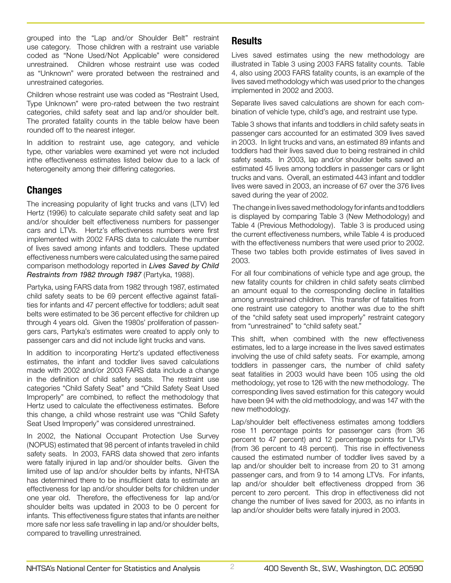grouped into the "Lap and/or Shoulder Belt" restraint use category. Those children with a restraint use variable coded as "None Used/Not Applicable" were considered unrestrained. Children whose restraint use was coded as "Unknown" were prorated between the restrained and unrestrained categories.

Children whose restraint use was coded as "Restraint Used, Type Unknown" were pro-rated between the two restraint categories, child safety seat and lap and/or shoulder belt. The prorated fatality counts in the table below have been rounded off to the nearest integer.

In addition to restraint use, age category, and vehicle type, other variables were examined yet were not included inthe effectiveness estimates listed below due to a lack of heterogeneity among their differing categories.

## **Changes**

The increasing popularity of light trucks and vans (LTV) led Hertz (1996) to calculate separate child safety seat and lap and/or shoulder belt effectiveness numbers for passenger cars and LTVs. Hertz's effectiveness numbers were first implemented with 2002 FARS data to calculate the number of lives saved among infants and toddlers. These updated effectiveness numbers were calculated using the same paired comparison methodology reported in *Lives Saved by Child Restraints from 1982 through 1987* (Partyka, 1988).

Partyka, using FARS data from 1982 through 1987, estimated child safety seats to be 69 percent effective against fatalities for infants and 47 percent effective for toddlers; adult seat belts were estimated to be 36 percent effective for children up through 4 years old. Given the 1980s' proliferation of passengers cars, Partyka's estimates were created to apply only to passenger cars and did not include light trucks and vans.

In addition to incorporating Hertz's updated effectiveness estimates, the infant and toddler lives saved calculations made with 2002 and/or 2003 FARS data include a change in the definition of child safety seats. The restraint use categories "Child Safety Seat" and "Child Safety Seat Used Improperly" are combined, to reflect the methodology that Hertz used to calculate the effectiveness estimates. Before this change, a child whose restraint use was "Child Safety Seat Used Improperly" was considered unrestrained.

In 2002, the National Occupant Protection Use Survey (NOPUS) estimated that 98 percent of infants traveled in child safety seats. In 2003, FARS data showed that zero infants were fatally injured in lap and/or shoulder belts. Given the limited use of lap and/or shoulder belts by infants, NHTSA has determined there to be insufficient data to estimate an effectiveness for lap and/or shoulder belts for children under one year old. Therefore, the effectiveness for lap and/or shoulder belts was updated in 2003 to be 0 percent for infants. This effectiveness figure states that infants are neither more safe nor less safe travelling in lap and/or shoulder belts, compared to travelling unrestrained.

## **Results**

Lives saved estimates using the new methodology are illustrated in Table 3 using 2003 FARS fatality counts. Table 4, also using 2003 FARS fatality counts, is an example of the lives saved methodology which was used prior to the changes implemented in 2002 and 2003.

Separate lives saved calculations are shown for each combination of vehicle type, child's age, and restraint use type.

Table 3 shows that infants and toddlers in child safety seats in passenger cars accounted for an estimated 309 lives saved in 2003. In light trucks and vans, an estimated 89 infants and toddlers had their lives saved due to being restrained in child safety seats. In 2003, lap and/or shoulder belts saved an estimated 45 lives among toddlers in passenger cars or light trucks and vans. Overall, an estimated 443 infant and toddler lives were saved in 2003, an increase of 67 over the 376 lives saved during the year of 2002.

 The change in lives saved methodology for infants and toddlers is displayed by comparing Table 3 (New Methodology) and Table 4 (Previous Methodology). Table 3 is produced using the current effectiveness numbers, while Table 4 is produced with the effectiveness numbers that were used prior to 2002. These two tables both provide estimates of lives saved in 2003.

For all four combinations of vehicle type and age group, the new fatality counts for children in child safety seats climbed an amount equal to the corresponding decline in fatalities among unrestrained children. This transfer of fatalities from one restraint use category to another was due to the shift of the "child safety seat used improperly" restraint category from "unrestrained" to "child safety seat."

This shift, when combined with the new effectiveness estimates, led to a large increase in the lives saved estimates involving the use of child safety seats. For example, among toddlers in passenger cars, the number of child safety seat fatalities in 2003 would have been 105 using the old methodology, yet rose to 126 with the new methodology. The corresponding lives saved estimation for this category would have been 94 with the old methodology, and was 147 with the new methodology.

Lap/shoulder belt effectiveness estimates among toddlers rose 11 percentage points for passenger cars (from 36 percent to 47 percent) and 12 percentage points for LTVs (from 36 percent to 48 percent). This rise in effectiveness caused the estimated number of toddler lives saved by a lap and/or shoulder belt to increase from 20 to 31 among passenger cars, and from 9 to 14 among LTVs. For infants, lap and/or shoulder belt effectiveness dropped from 36 percent to zero percent. This drop in effectiveness did not change the number of lives saved for 2003, as no infants in lap and/or shoulder belts were fatally injured in 2003.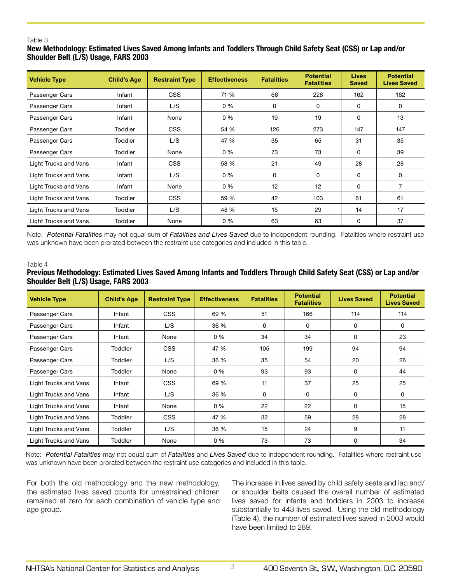#### Table 3

## **New Methodology: Estimated Lives Saved Among Infants and Toddlers Through Child Safety Seat (CSS) or Lap and/or Shoulder Belt (L/S) Usage, FARS 2003**

| <b>Vehicle Type</b>          | <b>Child's Age</b> | <b>Restraint Type</b> | <b>Effectiveness</b> | <b>Fatalities</b> | <b>Potential</b><br><b>Fatalities</b> | <b>Lives</b><br><b>Saved</b> | <b>Potential</b><br><b>Lives Saved</b> |
|------------------------------|--------------------|-----------------------|----------------------|-------------------|---------------------------------------|------------------------------|----------------------------------------|
| Passenger Cars               | Infant             | <b>CSS</b>            | 71 %                 | 66                | 228                                   | 162                          | 162                                    |
| Passenger Cars               | Infant             | L/S                   | $0\%$                | 0                 | 0                                     | 0                            | 0                                      |
| Passenger Cars               | Infant             | None                  | $0\%$                | 19                | 19                                    | 0                            | 13                                     |
| Passenger Cars               | Toddler            | <b>CSS</b>            | 54 %                 | 126               | 273                                   | 147                          | 147                                    |
| Passenger Cars               | Toddler            | L/S                   | 47 %                 | 35                | 65                                    | 31                           | 35                                     |
| Passenger Cars               | Toddler            | None                  | $0\%$                | 73                | 73                                    | 0                            | 39                                     |
| Light Trucks and Vans        | Infant             | <b>CSS</b>            | 58 %                 | 21                | 49                                    | 28                           | 28                                     |
| Light Trucks and Vans        | Infant             | L/S                   | $0\%$                | 0                 | 0                                     | 0                            | 0                                      |
| Light Trucks and Vans        | Infant             | None                  | $0\%$                | 12                | 12                                    | 0                            | 7                                      |
| Light Trucks and Vans        | Toddler            | <b>CSS</b>            | 59 %                 | 42                | 103                                   | 61                           | 61                                     |
| Light Trucks and Vans        | Toddler            | L/S                   | 48 %                 | 15                | 29                                    | 14                           | 17                                     |
| <b>Light Trucks and Vans</b> | Toddler            | None                  | $0\%$                | 63                | 63                                    | 0                            | 37                                     |

Note: *Potential Fatalities* may not equal sum of *Fatalities and Lives Saved* due to independent rounding. Fatalities where restraint use was unknown have been prorated between the restraint use categories and included in this table.

#### Table 4

## **Previous Methodology: Estimated Lives Saved Among Infants and Toddlers Through Child Safety Seat (CSS) or Lap and/or Shoulder Belt (L/S) Usage, FARS 2003**

| <b>Vehicle Type</b>   | <b>Child's Age</b> | <b>Restraint Type</b> | <b>Effectiveness</b> | <b>Fatalities</b> | <b>Potential</b><br><b>Fatalities</b> | <b>Lives Saved</b> | <b>Potential</b><br><b>Lives Saved</b> |
|-----------------------|--------------------|-----------------------|----------------------|-------------------|---------------------------------------|--------------------|----------------------------------------|
| Passenger Cars        | Infant             | <b>CSS</b>            | 69 %                 | 51                | 166                                   | 114                | 114                                    |
| Passenger Cars        | Infant             | L/S                   | 36 %                 | 0                 | 0                                     | 0                  | 0                                      |
| Passenger Cars        | Infant             | None                  | $0\%$                | 34                | 34                                    | $\mathbf{0}$       | 23                                     |
| Passenger Cars        | <b>Toddler</b>     | <b>CSS</b>            | 47 %                 | 105               | 199                                   | 94                 | 94                                     |
| Passenger Cars        | <b>Toddler</b>     | L/S                   | 36 %                 | 35                | 54                                    | 20                 | 26                                     |
| Passenger Cars        | <b>Toddler</b>     | None                  | 0 %                  | 93                | 93                                    | 0                  | 44                                     |
| Light Trucks and Vans | Infant             | <b>CSS</b>            | 69 %                 | 11                | 37                                    | 25                 | 25                                     |
| Light Trucks and Vans | Infant             | L/S                   | 36 %                 | 0                 | 0                                     | 0                  | 0                                      |
| Light Trucks and Vans | Infant             | None                  | $0\%$                | 22                | 22                                    | $\Omega$           | 15                                     |
| Light Trucks and Vans | <b>Toddler</b>     | <b>CSS</b>            | 47 %                 | 32                | 59                                    | 28                 | 28                                     |
| Light Trucks and Vans | <b>Toddler</b>     | L/S                   | 36 %                 | 15                | 24                                    | 9                  | 11                                     |
| Light Trucks and Vans | Toddler            | None                  | $0\%$                | 73                | 73                                    | 0                  | 34                                     |

Note: *Potential Fatalities* may not equal sum of *Fatalities* and *Lives Saved* due to independent rounding. Fatalities where restraint use was unknown have been prorated between the restraint use categories and included in this table.

For both the old methodology and the new methodology, the estimated lives saved counts for unrestrained children remained at zero for each combination of vehicle type and age group.

The increase in lives saved by child safety seats and lap and/ or shoulder belts caused the overall number of estimated lives saved for infants and toddlers in 2003 to increase substantially to 443 lives saved. Using the old methodology (Table 4), the number of estimated lives saved in 2003 would have been limited to 289.